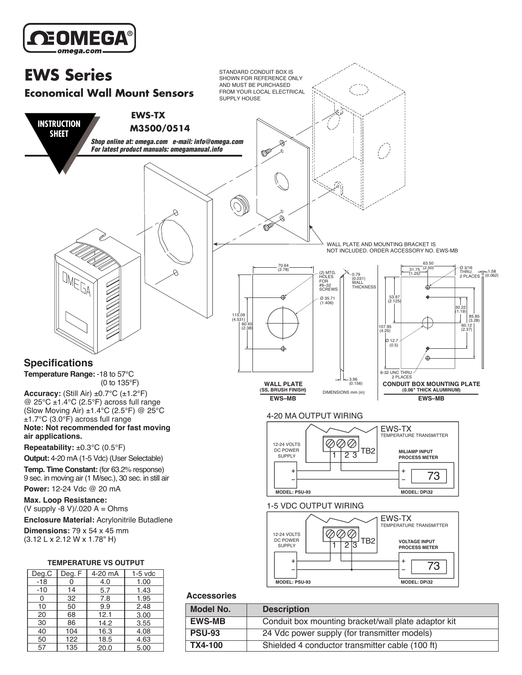

9.9 12.1 14.2 16.3 18.5 20.0 2.48 3.00 3.55 4.08 4.63 5.00



#### **Accessories**

| <b>Model No.</b> | <b>Description</b>                                  |
|------------------|-----------------------------------------------------|
| <b>EWS-MB</b>    | Conduit box mounting bracket/wall plate adaptor kit |
| <b>PSU-93</b>    | 24 Vdc power supply (for transmitter models)        |
| TX4-100          | Shielded 4 conductor transmitter cable (100 ft)     |